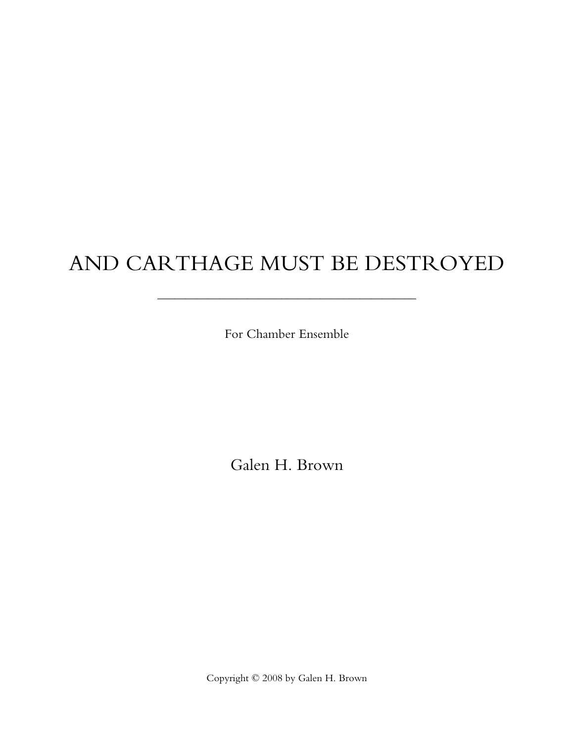## AND CARTHAGE MUST BE DESTROYED

\_\_\_\_\_\_\_\_\_\_\_\_\_\_\_\_\_\_\_\_\_\_\_\_\_\_\_\_\_\_\_\_\_\_\_\_\_\_\_\_\_\_\_\_\_\_

For Chamber Ensemble

Galen H. Brown

Copyright © 2008 by Galen H. Brown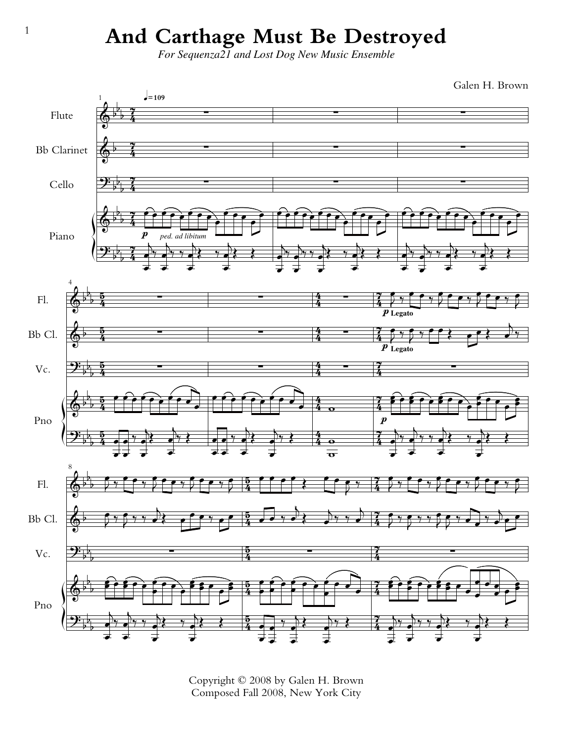## And Carthage Must Be Destroyed

For Sequenza21 and Lost Dog New Music Ensemble

Galen H. Brown  $\vert$ =109 Flute **Bb** Clarinet Cello Piano  $\boldsymbol{p}$ ped. ad libitum  $F1.$  $\boldsymbol{p}$  Legato Bb Cl. Legato Vc. Pno  $\boldsymbol{p}$ Fl. Bb Cl. Vc. Pno

> Copyright © 2008 by Galen H. Brown Composed Fall 2008, New York City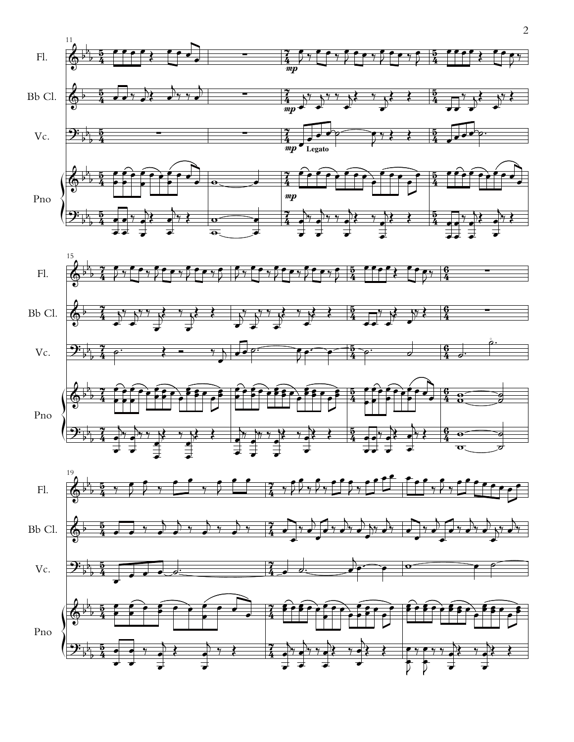

 $\mathfrak{D}$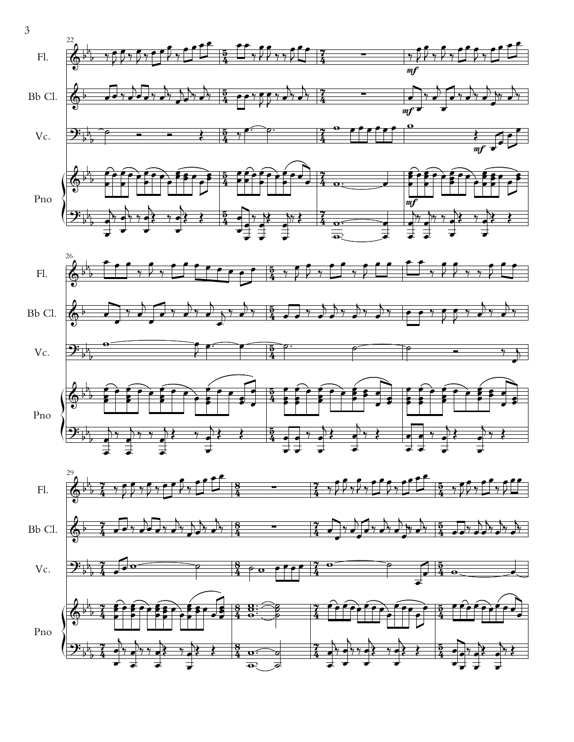

 $\mathfrak{Z}$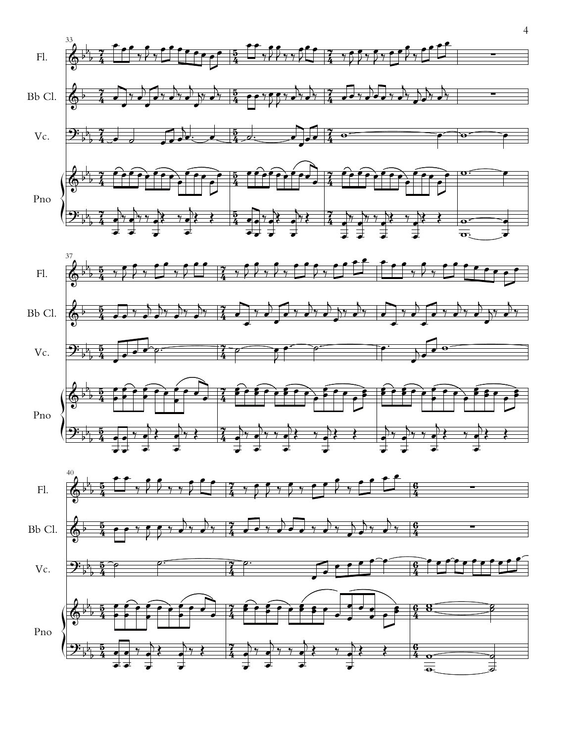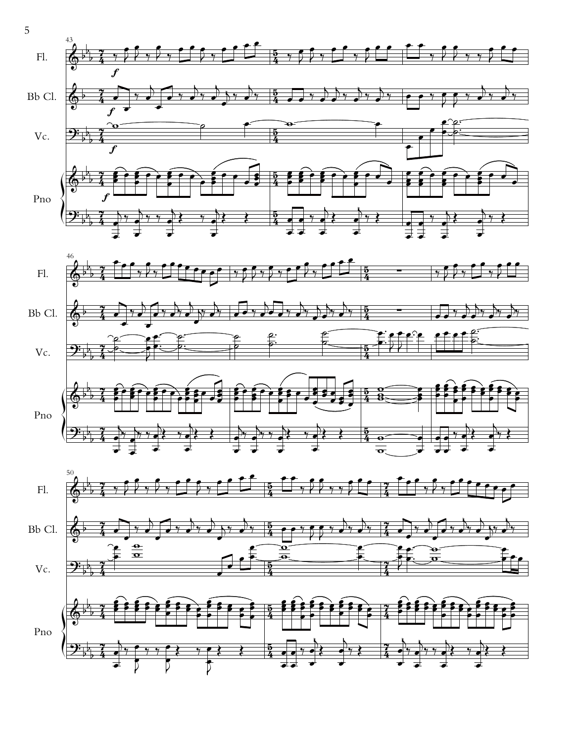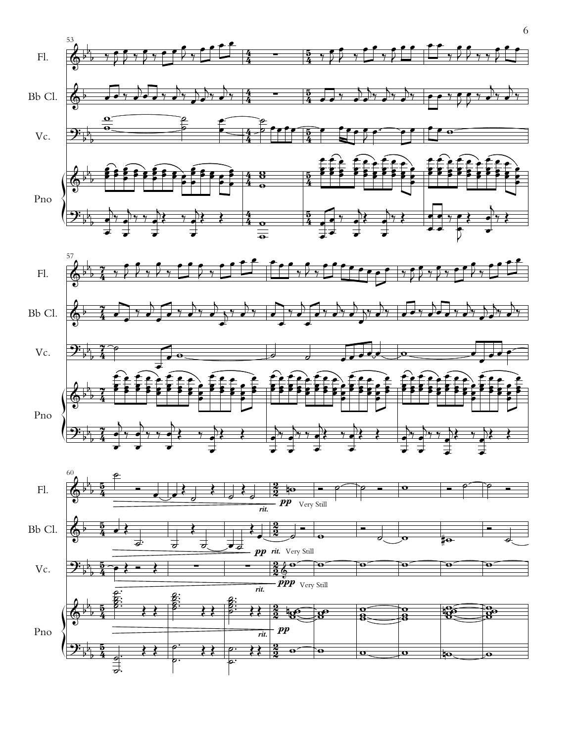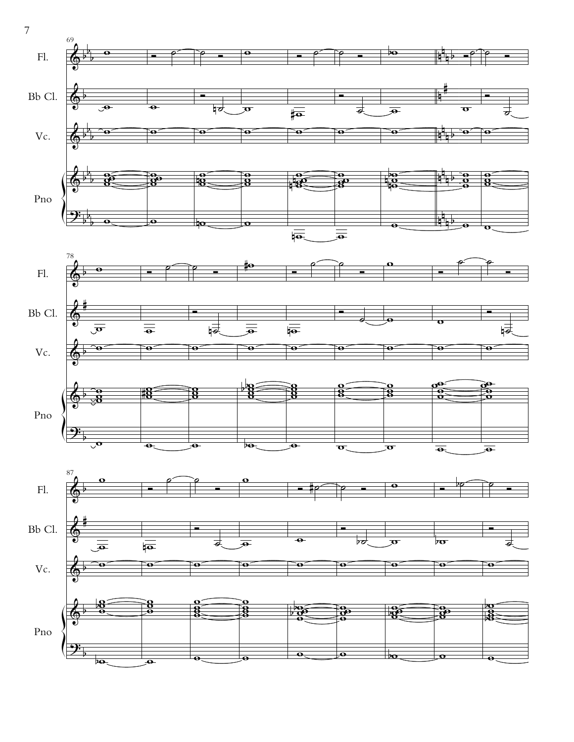

 $\boldsymbol{7}$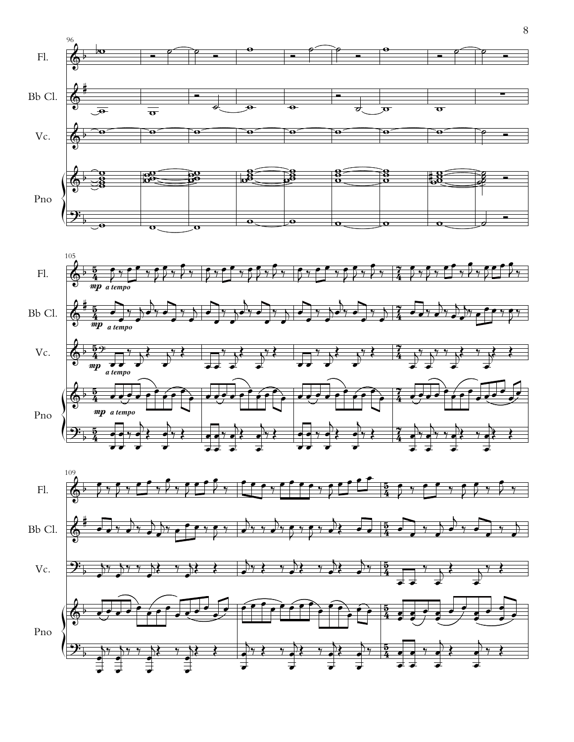



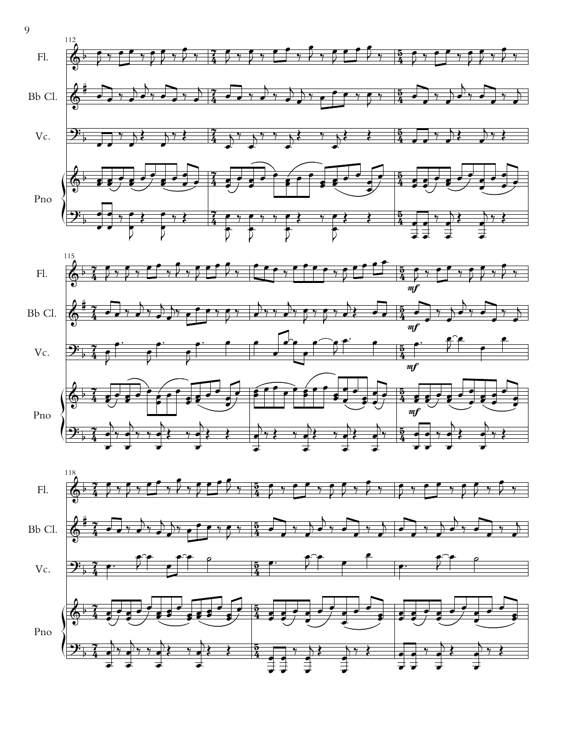



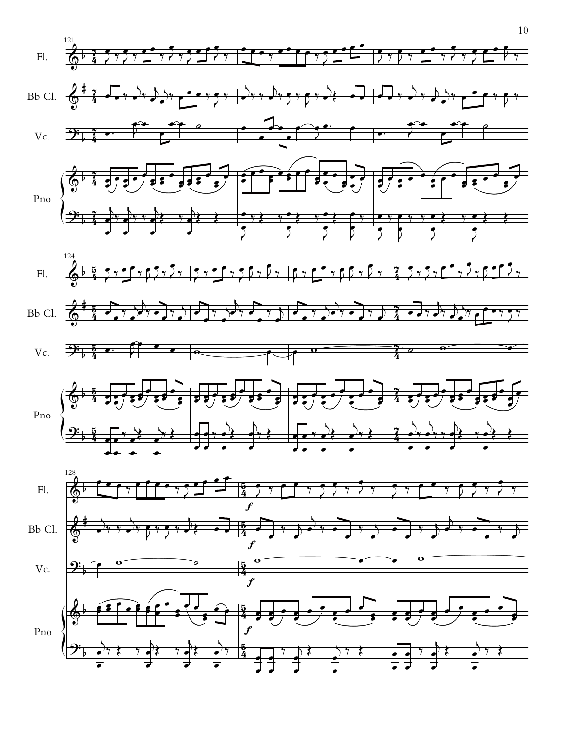







 $1<sub>0</sub>$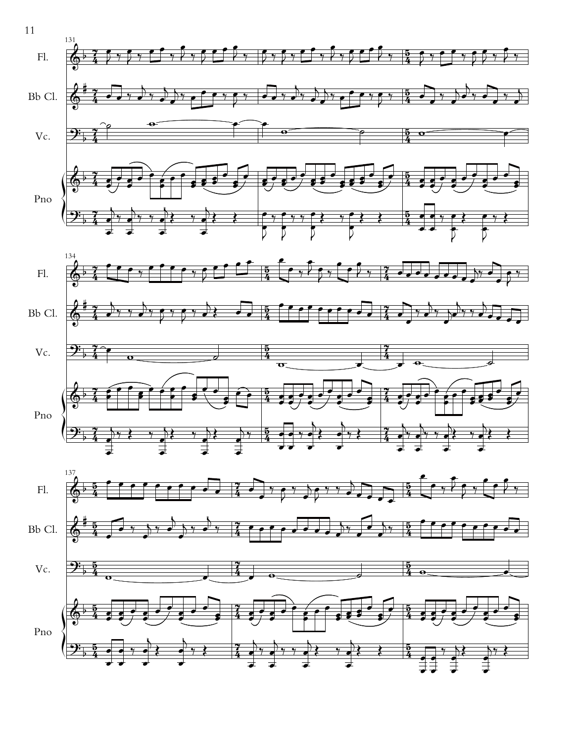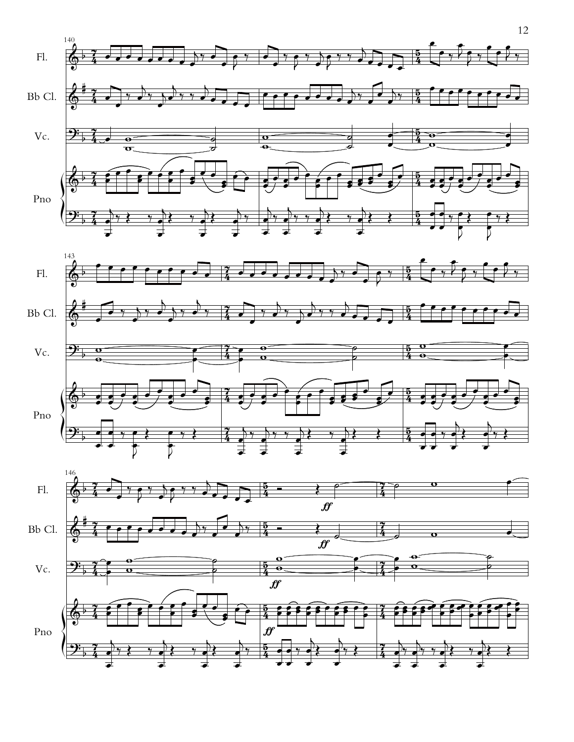

 $12.$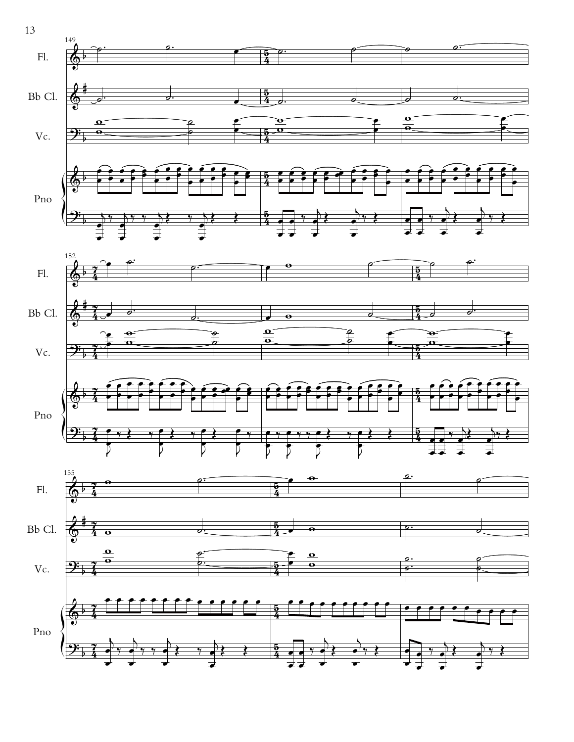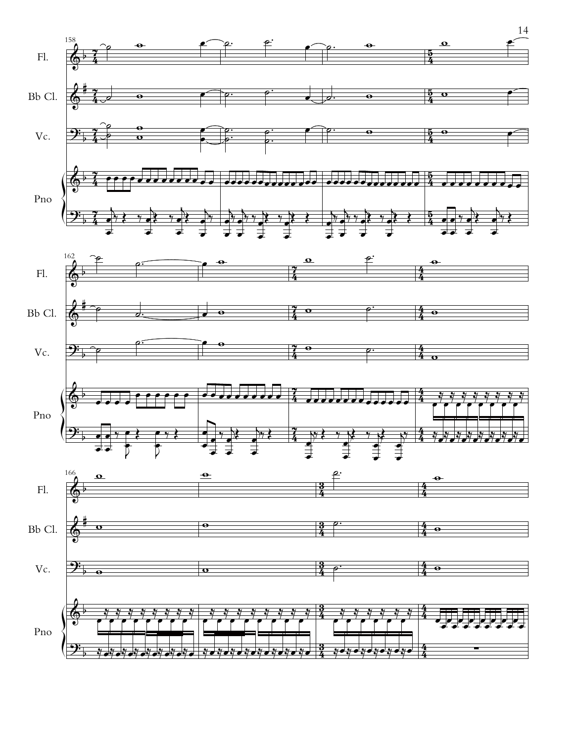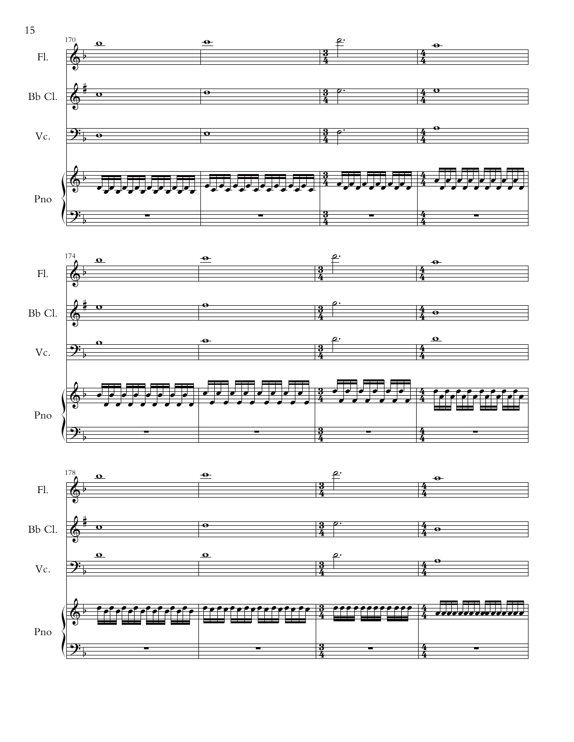